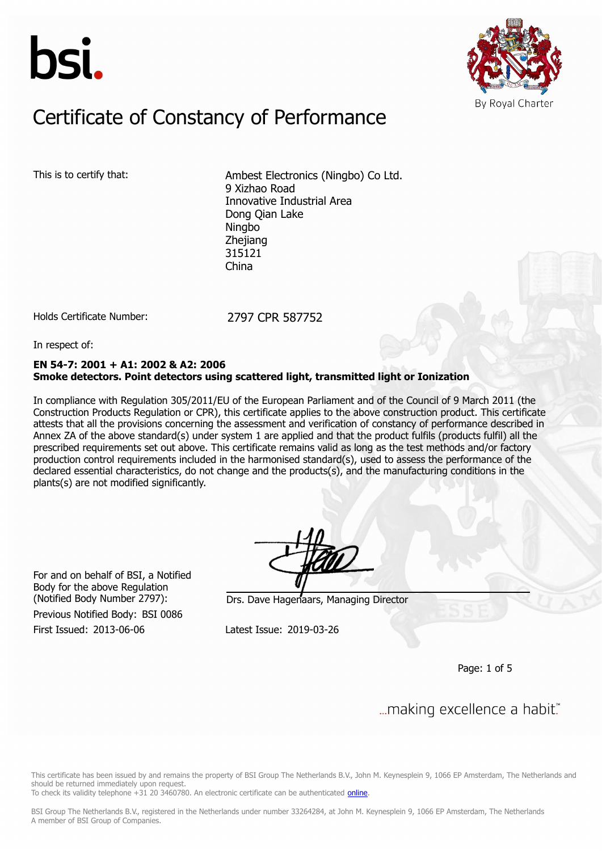



### Constitution of Constancy of Douforman Certificate of Constancy of Performance

This is to certify that: Ambest Electronics (Ningbo) Co Ltd. 9 Xizhao Road Innovative Industrial Area Dong Qian Lake Ningbo Zhejiang 315121 China

Holds Certificate Number: 2797 CPR 587752

In respect of:

#### **EN 54-7: 2001 + A1: 2002 & A2: 2006 Smoke detectors. Point detectors using scattered light, transmitted light or Ionization**

In compliance with Regulation 305/2011/EU of the European Parliament and of the Council of 9 March 2011 (the Construction Products Regulation or CPR), this certificate applies to the above construction product. This certificate attests that all the provisions concerning the assessment and verification of constancy of performance described in Annex ZA of the above standard(s) under system 1 are applied and that the product fulfils (products fulfil) all the prescribed requirements set out above. This certificate remains valid as long as the test methods and/or factory production control requirements included in the harmonised standard(s), used to assess the performance of the declared essential characteristics, do not change and the products(s), and the manufacturing conditions in the plants(s) are not modified significantly.

For and on behalf of BSI, a Notified Body for the above Regulation

First Issued: 2013-06-06 Latest Issue: 2019-03-26 Previous Notified Body: BSI 0086

(Notified Body Number 2797): Drs. Dave Hagenaars, Managing Director

Page: 1 of 5

... making excellence a habit."

This certificate has been issued by and remains the property of BSI Group The Netherlands B.V., John M. Keynesplein 9, 1066 EP Amsterdam, The Netherlands and should be returned immediately upon request.

To check its validity telephone +31 20 3460780. An electronic certificate can be authenticated [online.](https://pgplus.bsigroup.com/CertificateValidation/CertificateValidator.aspx?CertificateNumber=CPR 587752&ReIssueDate=26/03/2019&Template=uk)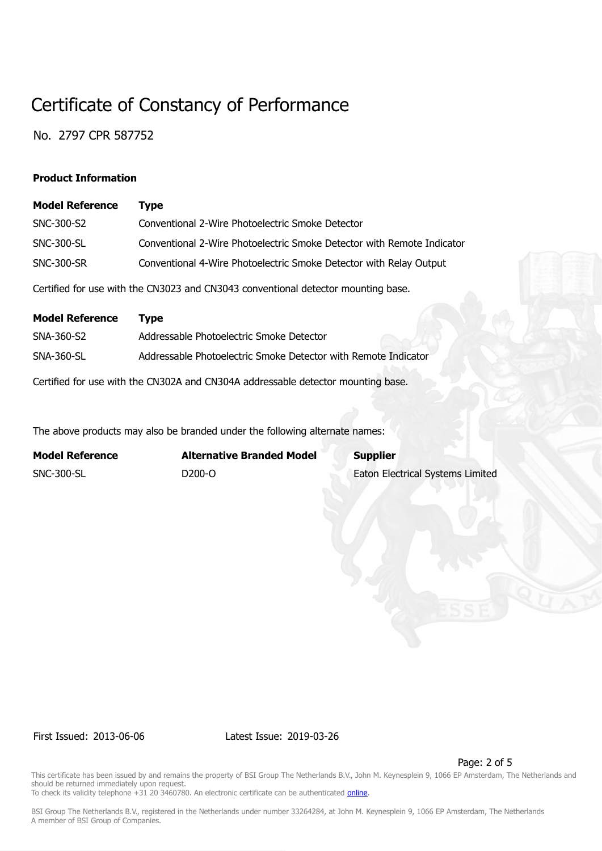No. 2797 CPR 587752

#### **Product Information**

| <b>Model Reference</b> | Tvpe                                                                              |
|------------------------|-----------------------------------------------------------------------------------|
| SNC-300-S2             | Conventional 2-Wire Photoelectric Smoke Detector                                  |
| SNC-300-SL             | Conventional 2-Wire Photoelectric Smoke Detector with Remote Indicator            |
| <b>SNC-300-SR</b>      | Conventional 4-Wire Photoelectric Smoke Detector with Relay Output                |
|                        | Certified for use with the CN3023 and CN3043 conventional detector mounting base. |

| <b>Model Reference</b> | Tvpe                                                                             |
|------------------------|----------------------------------------------------------------------------------|
| SNA-360-S2             | Addressable Photoelectric Smoke Detector                                         |
| <b>SNA-360-SL</b>      | Addressable Photoelectric Smoke Detector with Remote Indicator                   |
|                        | Certified for use with the CN302A and CN304A addressable detector mounting base. |

The above products may also be branded under the following alternate names:

| <b>Model Reference</b> | <b>Alternative Branded Model</b> | <b>Supplier</b>                         |
|------------------------|----------------------------------|-----------------------------------------|
| SNC-300-SL             | D <sub>200</sub> -O              | <b>Eaton Electrical Systems Limited</b> |

First Issued: 2013-06-06 Latest Issue: 2019-03-26

Page: 2 of 5

This certificate has been issued by and remains the property of BSI Group The Netherlands B.V., John M. Keynesplein 9, 1066 EP Amsterdam, The Netherlands and should be returned immediately upon request. To check its validity telephone +31 20 3460780. An electronic certificate can be authenticated *online*.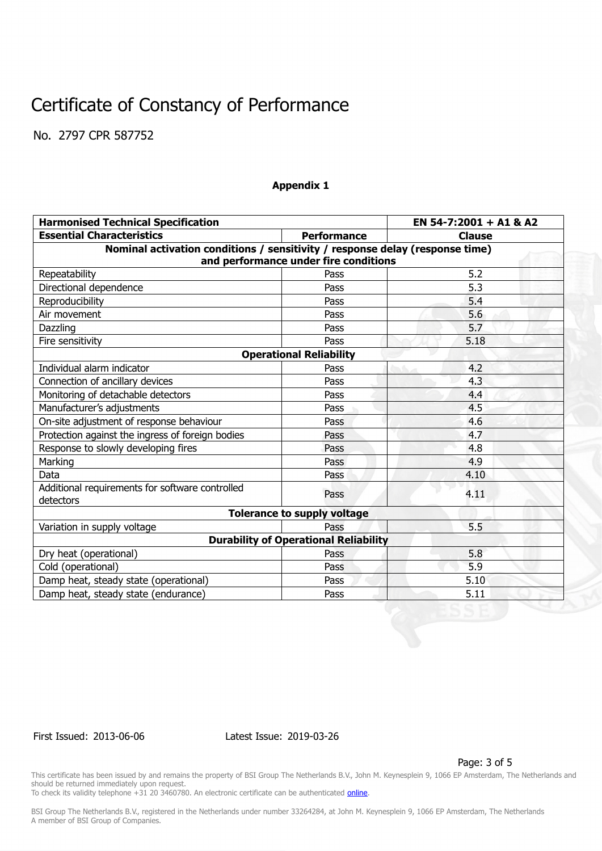No. 2797 CPR 587752

#### **Appendix 1**

| <b>Harmonised Technical Specification</b>                                    | EN 54-7:2001 + A1 & A2                       |               |  |  |  |  |  |
|------------------------------------------------------------------------------|----------------------------------------------|---------------|--|--|--|--|--|
| <b>Essential Characteristics</b>                                             | <b>Performance</b>                           | <b>Clause</b> |  |  |  |  |  |
| Nominal activation conditions / sensitivity / response delay (response time) |                                              |               |  |  |  |  |  |
| and performance under fire conditions                                        |                                              |               |  |  |  |  |  |
| Repeatability                                                                | Pass                                         | 5.2           |  |  |  |  |  |
| Directional dependence                                                       | Pass                                         | 5.3           |  |  |  |  |  |
| Reproducibility                                                              | Pass                                         | 5.4           |  |  |  |  |  |
| Air movement                                                                 | Pass                                         | 5.6           |  |  |  |  |  |
| Dazzling                                                                     | Pass                                         | 5.7           |  |  |  |  |  |
| Fire sensitivity                                                             | Pass                                         | 5.18          |  |  |  |  |  |
| <b>Operational Reliability</b>                                               |                                              |               |  |  |  |  |  |
| Individual alarm indicator                                                   | Pass                                         | 4.2           |  |  |  |  |  |
| Connection of ancillary devices                                              | Pass                                         | 4.3           |  |  |  |  |  |
| Monitoring of detachable detectors                                           | Pass                                         | 4.4           |  |  |  |  |  |
| Manufacturer's adjustments                                                   | Pass                                         | 4.5           |  |  |  |  |  |
| On-site adjustment of response behaviour                                     | Pass                                         | 4.6           |  |  |  |  |  |
| Protection against the ingress of foreign bodies                             | Pass                                         | 4.7           |  |  |  |  |  |
| Response to slowly developing fires                                          | Pass                                         | 4.8           |  |  |  |  |  |
| Marking                                                                      | Pass                                         | 4.9           |  |  |  |  |  |
| Data                                                                         | Pass                                         | 4.10          |  |  |  |  |  |
| Additional requirements for software controlled<br>detectors                 | Pass                                         | 4.11          |  |  |  |  |  |
| <b>Tolerance to supply voltage</b>                                           |                                              |               |  |  |  |  |  |
| Variation in supply voltage                                                  | Pass                                         | 5.5           |  |  |  |  |  |
|                                                                              | <b>Durability of Operational Reliability</b> |               |  |  |  |  |  |
| Dry heat (operational)                                                       | Pass                                         | 5.8           |  |  |  |  |  |
| Cold (operational)                                                           | Pass                                         | 5.9           |  |  |  |  |  |
| Damp heat, steady state (operational)                                        | Pass                                         | 5.10          |  |  |  |  |  |
| Damp heat, steady state (endurance)                                          | Pass                                         | 5.11          |  |  |  |  |  |

First Issued: 2013-06-06 Latest Issue: 2019-03-26

Page: 3 of 5

This certificate has been issued by and remains the property of BSI Group The Netherlands B.V., John M. Keynesplein 9, 1066 EP Amsterdam, The Netherlands and should be returned immediately upon request.

To check its validity telephone +31 20 3460780. An electronic certificate can be authenticated *online*.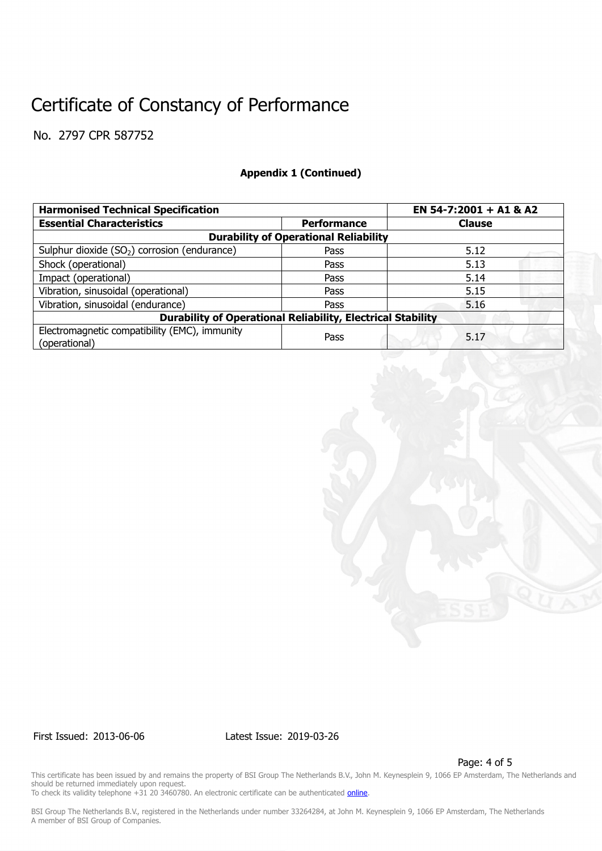No. 2797 CPR 587752

### **Appendix 1 (Continued)**

| <b>Harmonised Technical Specification</b>                          | EN 54-7:2001 + A1 & A2 |               |  |  |  |  |
|--------------------------------------------------------------------|------------------------|---------------|--|--|--|--|
| <b>Essential Characteristics</b>                                   | <b>Performance</b>     | <b>Clause</b> |  |  |  |  |
| <b>Durability of Operational Reliability</b>                       |                        |               |  |  |  |  |
| Sulphur dioxide $(SO2)$ corrosion (endurance)                      | Pass                   | 5.12          |  |  |  |  |
| Shock (operational)                                                | Pass                   | 5.13          |  |  |  |  |
| Impact (operational)                                               | Pass                   | 5.14          |  |  |  |  |
| Vibration, sinusoidal (operational)                                | Pass                   | 5.15          |  |  |  |  |
| Vibration, sinusoidal (endurance)                                  | Pass                   | 5.16          |  |  |  |  |
| <b>Durability of Operational Reliability, Electrical Stability</b> |                        |               |  |  |  |  |
| Electromagnetic compatibility (EMC), immunity<br>(operational)     | Pass                   | 5.17          |  |  |  |  |



First Issued: 2013-06-06 Latest Issue: 2019-03-26

Page: 4 of 5

This certificate has been issued by and remains the property of BSI Group The Netherlands B.V., John M. Keynesplein 9, 1066 EP Amsterdam, The Netherlands and should be returned immediately upon request.

To check its validity telephone +31 20 3460780. An electronic certificate can be authenticated *online*.